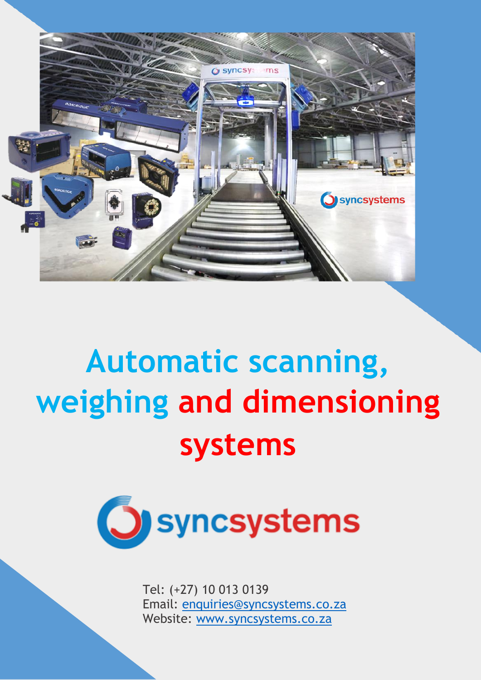

# **Automatic scanning, weighing and dimensioning systems**



Tel: (+27) 10 013 0139 Email: [enquiries@syncsystems.co.za](mailto:enquiries@syncsystems.co.za) Website: [www.syncsystems.co.za](http://www.syncsystems.co.za/)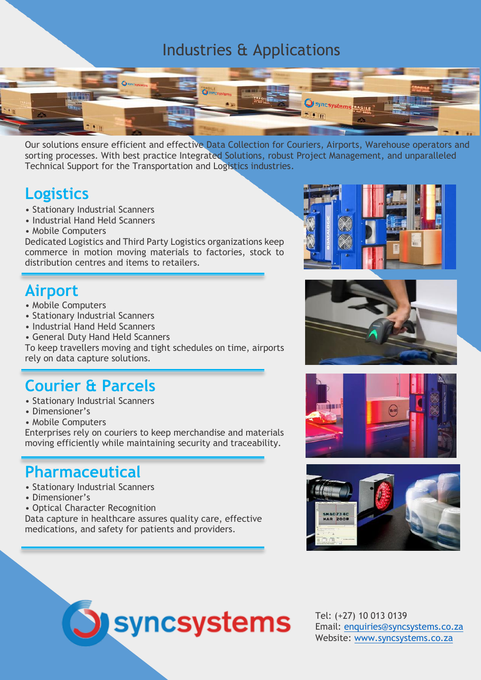#### Industries & Applications



Our solutions ensure efficient and effective Data Collection for Couriers, Airports, Warehouse operators and sorting processes. With best practice Integrated Solutions, robust Project Management, and unparalleled Technical Support for the Transportation and Logistics industries.

#### **Logistics**

- Stationary Industrial Scanners
- Industrial Hand Held Scanners
- Mobile Computers

Dedicated Logistics and Third Party Logistics organizations keep commerce in motion moving materials to factories, stock to distribution centres and items to retailers.

# **Airport**

- Mobile Computers
- Stationary Industrial Scanners
- Industrial Hand Held Scanners
- General Duty Hand Held Scanners

To keep travellers moving and tight schedules on time, airports rely on data capture solutions.

## **Courier & Parcels**

- Stationary Industrial Scanners
- Dimensioner's
- Mobile Computers

Enterprises rely on couriers to keep merchandise and materials moving efficiently while maintaining security and traceability.

#### **Pharmaceutical**

- Stationary Industrial Scanners
- Dimensioner's
- Optical Character Recognition

Data capture in healthcare assures quality care, effective medications, and safety for patients and providers.

**Syncsystems** 









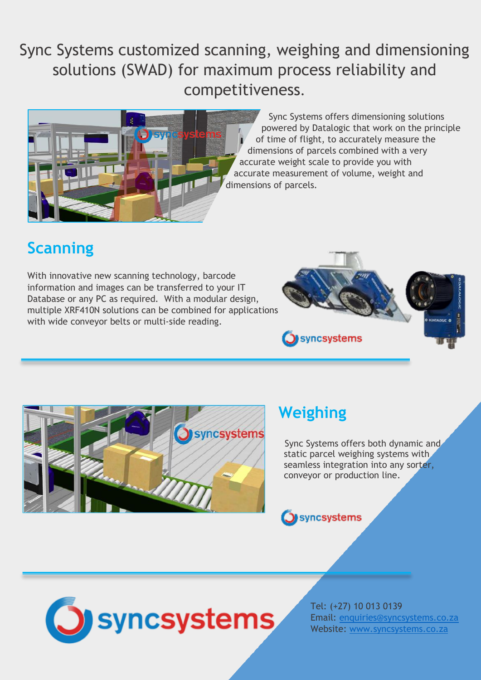# Sync Systems customized scanning, weighing and dimensioning solutions (SWAD) for maximum process reliability and competitiveness.



Sync Systems offers dimensioning solutions powered by Datalogic that work on the principle of time of flight, to accurately measure the dimensions of parcels combined with a very accurate weight scale to provide you with accurate measurement of volume, weight and dimensions of parcels.

# **Scanning**

With innovative new scanning technology, barcode information and images can be transferred to your IT Database or any PC as required. With a modular design, multiple XRF410N solutions can be combined for applications with wide conveyor belts or multi-side reading.





# **Weighing**

 Sync Systems offers both dynamic and static parcel weighing systems with seamless integration into any sorter, conveyor or production line.





Tel: (+27) 10 013 0139 Email: [enquiries@syncsystems.co.za](mailto:enquiries@syncsystems.co.za) Website: [www.syncsystems.co.za](http://www.syncsystems.co.za/)